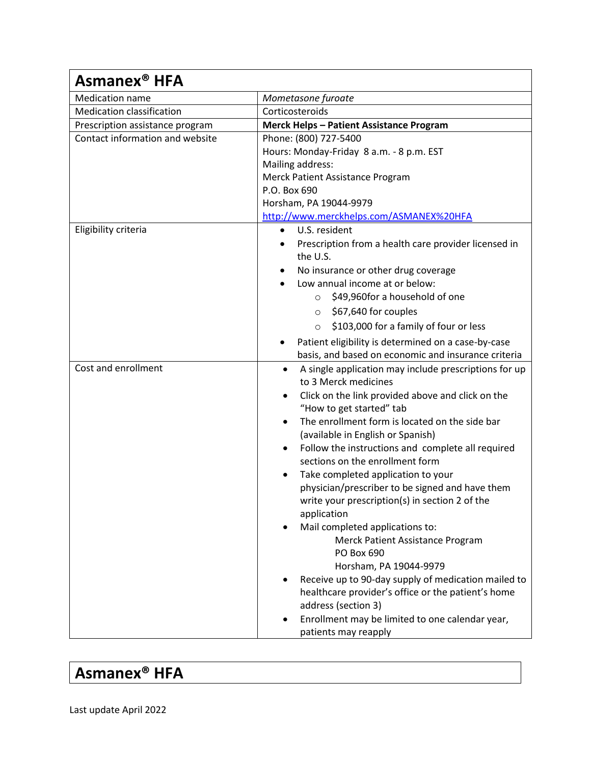| Asmanex <sup>®</sup> HFA         |                                                                                            |  |
|----------------------------------|--------------------------------------------------------------------------------------------|--|
| <b>Medication name</b>           | Mometasone furoate                                                                         |  |
| <b>Medication classification</b> | Corticosteroids                                                                            |  |
| Prescription assistance program  | <b>Merck Helps - Patient Assistance Program</b>                                            |  |
| Contact information and website  | Phone: (800) 727-5400                                                                      |  |
|                                  | Hours: Monday-Friday 8 a.m. - 8 p.m. EST                                                   |  |
|                                  | Mailing address:                                                                           |  |
|                                  | Merck Patient Assistance Program                                                           |  |
|                                  | P.O. Box 690                                                                               |  |
|                                  | Horsham, PA 19044-9979                                                                     |  |
|                                  | http://www.merckhelps.com/ASMANEX%20HFA                                                    |  |
| Eligibility criteria             | U.S. resident<br>$\bullet$                                                                 |  |
|                                  | Prescription from a health care provider licensed in                                       |  |
|                                  | the U.S.                                                                                   |  |
|                                  | No insurance or other drug coverage                                                        |  |
|                                  | Low annual income at or below:                                                             |  |
|                                  | \$49,960for a household of one<br>$\circ$                                                  |  |
|                                  | \$67,640 for couples<br>$\circ$                                                            |  |
|                                  | \$103,000 for a family of four or less<br>$\circ$                                          |  |
|                                  | Patient eligibility is determined on a case-by-case                                        |  |
|                                  | basis, and based on economic and insurance criteria                                        |  |
| Cost and enrollment              | A single application may include prescriptions for up<br>$\bullet$<br>to 3 Merck medicines |  |
|                                  | Click on the link provided above and click on the<br>$\bullet$<br>"How to get started" tab |  |
|                                  | The enrollment form is located on the side bar<br>(available in English or Spanish)        |  |
|                                  | Follow the instructions and complete all required                                          |  |
|                                  | sections on the enrollment form                                                            |  |
|                                  | Take completed application to your<br>$\bullet$                                            |  |
|                                  | physician/prescriber to be signed and have them                                            |  |
|                                  | write your prescription(s) in section 2 of the                                             |  |
|                                  | application                                                                                |  |
|                                  | Mail completed applications to:                                                            |  |
|                                  | Merck Patient Assistance Program<br>PO Box 690                                             |  |
|                                  | Horsham, PA 19044-9979                                                                     |  |
|                                  | Receive up to 90-day supply of medication mailed to                                        |  |
|                                  | healthcare provider's office or the patient's home                                         |  |
|                                  | address (section 3)                                                                        |  |
|                                  | Enrollment may be limited to one calendar year,                                            |  |
|                                  | patients may reapply                                                                       |  |

## **Asmanex® HFA**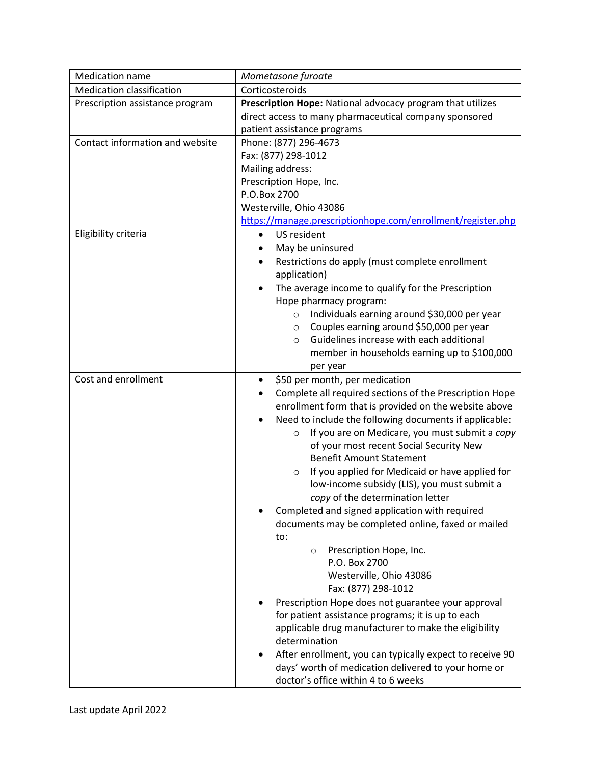| <b>Medication name</b>           | Mometasone furoate                                                                                   |  |  |
|----------------------------------|------------------------------------------------------------------------------------------------------|--|--|
| <b>Medication classification</b> | Corticosteroids                                                                                      |  |  |
| Prescription assistance program  | Prescription Hope: National advocacy program that utilizes                                           |  |  |
|                                  | direct access to many pharmaceutical company sponsored                                               |  |  |
|                                  | patient assistance programs                                                                          |  |  |
| Contact information and website  | Phone: (877) 296-4673<br>Fax: (877) 298-1012                                                         |  |  |
|                                  |                                                                                                      |  |  |
|                                  | Mailing address:                                                                                     |  |  |
|                                  | Prescription Hope, Inc.<br>P.O.Box 2700                                                              |  |  |
|                                  | Westerville, Ohio 43086                                                                              |  |  |
|                                  | https://manage.prescriptionhope.com/enrollment/register.php                                          |  |  |
| Eligibility criteria             | US resident<br>$\bullet$                                                                             |  |  |
|                                  | May be uninsured                                                                                     |  |  |
|                                  | Restrictions do apply (must complete enrollment                                                      |  |  |
|                                  | application)                                                                                         |  |  |
|                                  | The average income to qualify for the Prescription                                                   |  |  |
|                                  | Hope pharmacy program:                                                                               |  |  |
|                                  | Individuals earning around \$30,000 per year<br>$\circ$                                              |  |  |
|                                  | Couples earning around \$50,000 per year<br>$\circ$                                                  |  |  |
|                                  | Guidelines increase with each additional<br>$\circ$                                                  |  |  |
|                                  | member in households earning up to \$100,000                                                         |  |  |
|                                  | per year                                                                                             |  |  |
| Cost and enrollment              | \$50 per month, per medication<br>$\bullet$                                                          |  |  |
|                                  | Complete all required sections of the Prescription Hope                                              |  |  |
|                                  | enrollment form that is provided on the website above                                                |  |  |
|                                  | Need to include the following documents if applicable:                                               |  |  |
|                                  | If you are on Medicare, you must submit a copy<br>$\circ$<br>of your most recent Social Security New |  |  |
|                                  | <b>Benefit Amount Statement</b>                                                                      |  |  |
|                                  | If you applied for Medicaid or have applied for<br>$\circ$                                           |  |  |
|                                  | low-income subsidy (LIS), you must submit a                                                          |  |  |
|                                  | copy of the determination letter                                                                     |  |  |
|                                  | Completed and signed application with required                                                       |  |  |
|                                  | documents may be completed online, faxed or mailed                                                   |  |  |
|                                  | to:                                                                                                  |  |  |
|                                  | Prescription Hope, Inc.<br>$\circ$                                                                   |  |  |
|                                  | P.O. Box 2700                                                                                        |  |  |
|                                  | Westerville, Ohio 43086                                                                              |  |  |
|                                  | Fax: (877) 298-1012                                                                                  |  |  |
|                                  | Prescription Hope does not guarantee your approval                                                   |  |  |
|                                  | for patient assistance programs; it is up to each                                                    |  |  |
|                                  | applicable drug manufacturer to make the eligibility<br>determination                                |  |  |
|                                  | After enrollment, you can typically expect to receive 90                                             |  |  |
|                                  | days' worth of medication delivered to your home or                                                  |  |  |
|                                  | doctor's office within 4 to 6 weeks                                                                  |  |  |